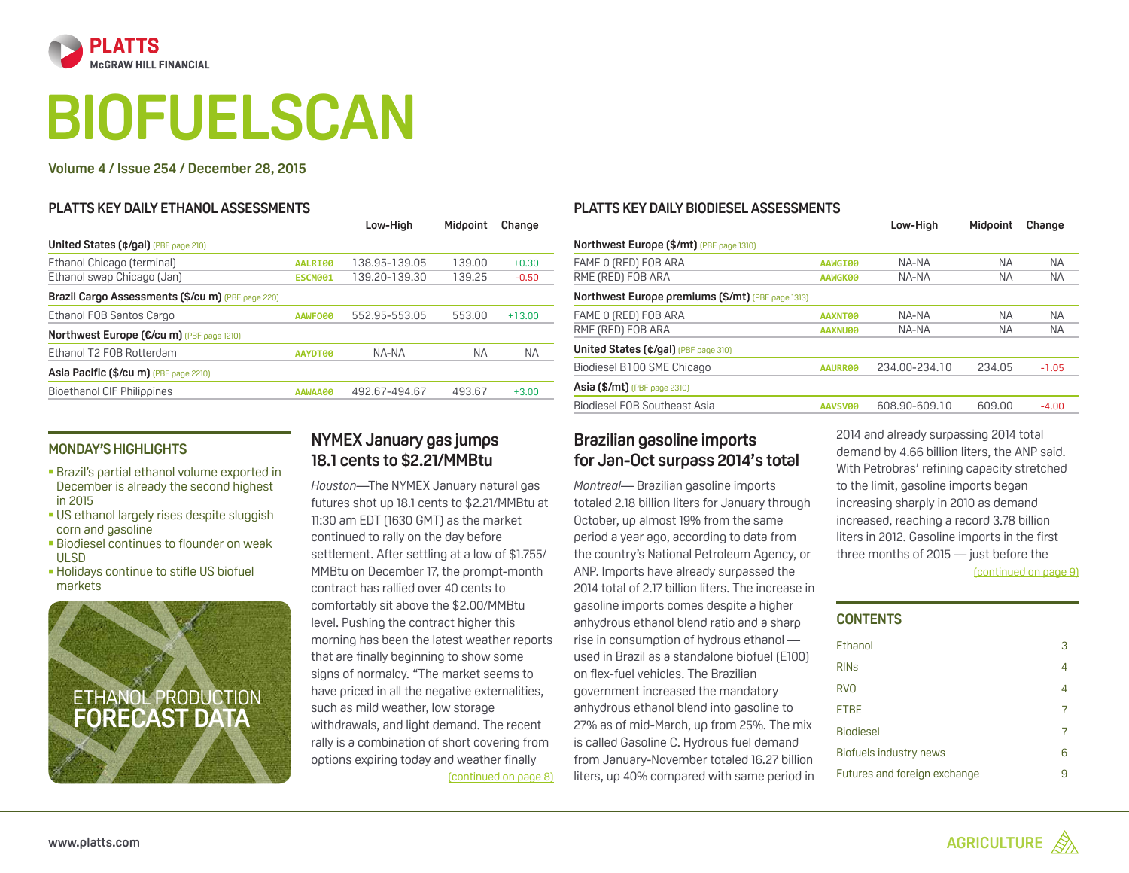<span id="page-0-0"></span>

# **BIOFUELSCAN**

#### **Volume 4 / Issue 254 / December 28, 2015**

#### **Platts key daily ethanol assessments**

|                | Low-High      | Midooint  | Change    |
|----------------|---------------|-----------|-----------|
|                |               |           |           |
| AALRI00        | 138.95-139.05 | 139.00    | $+0.30$   |
| <b>ESCM001</b> | 139.20-139.30 | 139.25    | $-0.50$   |
|                |               |           |           |
| AAWFO00        | 552.95-553.05 | 553.00    | $+13.00$  |
|                |               |           |           |
| <b>AAYDT00</b> | NA-NA         | <b>NA</b> | <b>NA</b> |
|                |               |           |           |
| AAWAA00        | 492.67-494.67 | 493.67    | $+3.00$   |
|                |               |           |           |

### **Monday's highlights**

- Brazil's partial ethanol volume exported in December is already the second highest in 2015
- US ethanol largely rises despite sluggish corn and gasoline
- **Biodiesel continues to flounder on weak** ULSD
- **-Holidays continue to stifle US biofuel** markets



# **NYMEX January gas jumps 18.1 cents to \$2.21/MMBtu**

*Houston*—The NYMEX January natural gas futures shot up 18.1 cents to \$2.21/MMBtu at 11:30 am EDT (1630 GMT) as the market continued to rally on the day before settlement. After settling at a low of \$1.755/ MMBtu on December 17, the prompt-month contract has rallied over 40 cents to comfortably sit above the \$2.00/MMBtu level. Pushing the contract higher this morning has been the latest weather reports that are finally beginning to show some signs of normalcy. "The market seems to have priced in all the negative externalities, such as mild weather, low storage withdrawals, and light demand. The recent rally is a combination of short covering from options expiring today and weather finally [\(continued on page 8\)](#page-7-0)

#### **[Platts key daily biodiesel assessments](#page-6-0)**

|                                                   |                | Low-High      | Midooint  | Change    |  |
|---------------------------------------------------|----------------|---------------|-----------|-----------|--|
| Northwest Europe (\$/mt) (PBF page 1310)          |                |               |           |           |  |
| FAME O (RED) FOB ARA                              | AAWGI00        | NA-NA         | ΝA        | <b>NA</b> |  |
| RME (RED) FOB ARA                                 | AAWGK00        | NA-NA         | ΝA        | NA.       |  |
| Northwest Europe premiums (\$/mt) (PBF page 1313) |                |               |           |           |  |
| FAME O (RED) FOB ARA                              | <b>AAXNT00</b> | NA-NA         | <b>NA</b> | <b>NA</b> |  |
| RME (RED) FOB ARA                                 | <b>AAXNU00</b> | NA-NA         | ΝA        | <b>NA</b> |  |
| United States (¢/gal) (PBF page 310)              |                |               |           |           |  |
| Biodiesel B100 SME Chicago                        | AAURR00        | 234.00-234.10 | 234.05    | $-1.05$   |  |
| <b>Asia (\$/mt)</b> (PBF page 2310)               |                |               |           |           |  |
| Biodiesel FOB Southeast Asia                      | <b>AAVSV00</b> | 608.90-609.10 | 609.00    | $-4.00$   |  |
|                                                   |                |               |           |           |  |

# **Brazilian gasoline imports for Jan-Oct surpass 2014's total**

*Montreal*— Brazilian gasoline imports totaled 2.18 billion liters for January through October, up almost 19% from the same period a year ago, according to data from the country's National Petroleum Agency, or ANP. Imports have already surpassed the 2014 total of 2.17 billion liters. The increase in gasoline imports comes despite a higher anhydrous ethanol blend ratio and a sharp rise in consumption of hydrous ethanol used in Brazil as a standalone biofuel (E100) on flex-fuel vehicles. The Brazilian government increased the mandatory anhydrous ethanol blend into gasoline to 27% as of mid-March, up from 25%. The mix is called Gasoline C. Hydrous fuel demand from January-November totaled 16.27 billion liters, up 40% compared with same period in

[\(continued on page 9\)](#page-8-0) 2014 and already surpassing 2014 total demand by 4.66 billion liters, the ANP said. With Petrobras' refining capacity stretched to the limit, gasoline imports began increasing sharply in 2010 as demand increased, reaching a record 3.78 billion liters in 2012. Gasoline imports in the first three months of 2015 — just before the

# **Contents**

| Ethanol                      | 3 |
|------------------------------|---|
| <b>RIN<sub>S</sub></b>       | 4 |
| <b>RVO</b>                   | 4 |
| <b>ETBE</b>                  |   |
| <b>Biodiesel</b>             | 7 |
| Biofuels industry news       | 6 |
| Futures and foreign exchange |   |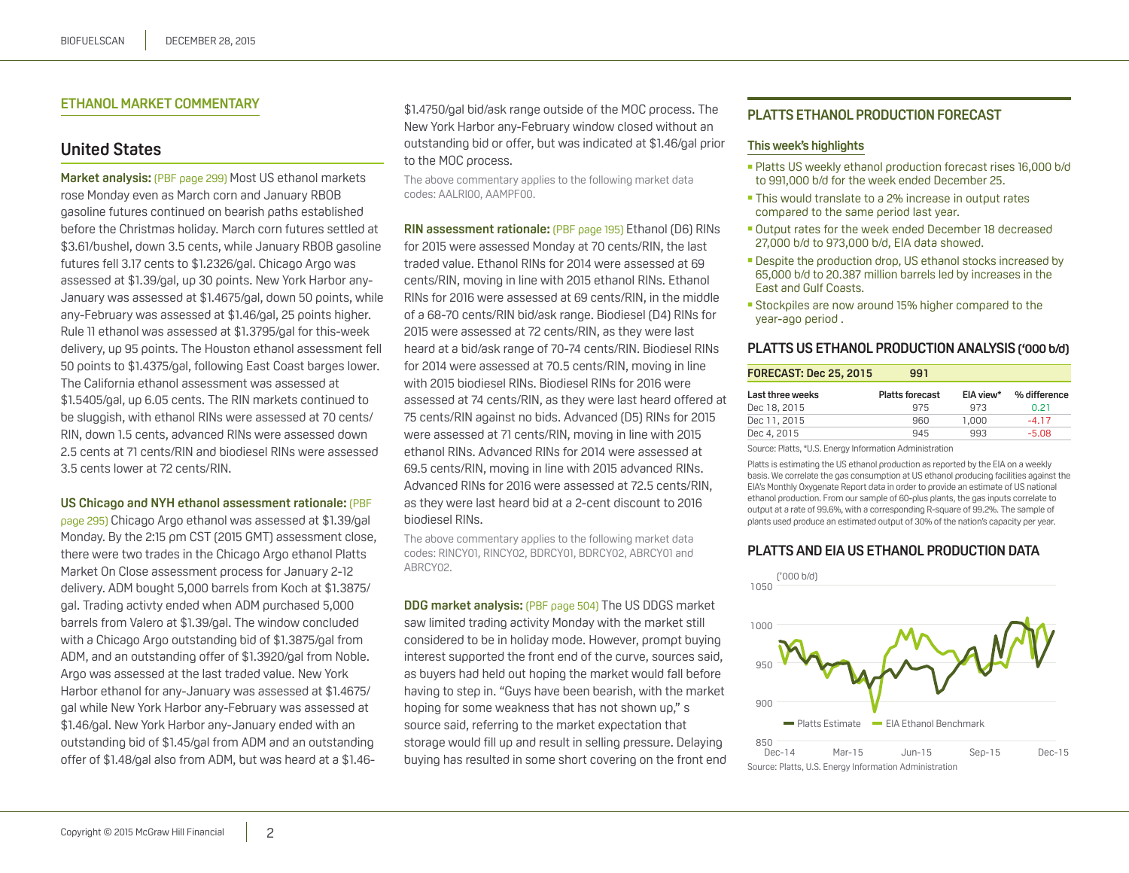#### <span id="page-1-0"></span>**Ethanol market commentary**

# **United States**

**Market analysis:** (PBF page 299) Most US ethanol markets rose Monday even as March corn and January RBOB gasoline futures continued on bearish paths established before the Christmas holiday. March corn futures settled at \$3.61/bushel, down 3.5 cents, while January RBOB gasoline futures fell 3.17 cents to \$1.2326/gal. Chicago Argo was assessed at \$1.39/gal, up 30 points. New York Harbor any-January was assessed at \$1.4675/gal, down 50 points, while any-February was assessed at \$1.46/gal, 25 points higher. Rule 11 ethanol was assessed at \$1.3795/gal for this-week delivery, up 95 points. The Houston ethanol assessment fell 50 points to \$1.4375/gal, following East Coast barges lower. The California ethanol assessment was assessed at \$1.5405/gal, up 6.05 cents. The RIN markets continued to be sluggish, with ethanol RINs were assessed at 70 cents/ RIN, down 1.5 cents, advanced RINs were assessed down 2.5 cents at 71 cents/RIN and biodiesel RINs were assessed 3.5 cents lower at 72 cents/RIN.

#### **US Chicago and NYH ethanol assessment rationale:** (PBF

page 295) Chicago Argo ethanol was assessed at \$1.39/gal Monday. By the 2:15 pm CST (2015 GMT) assessment close, there were two trades in the Chicago Argo ethanol Platts Market On Close assessment process for January 2-12 delivery. ADM bought 5,000 barrels from Koch at \$1.3875/ gal. Trading activty ended when ADM purchased 5,000 barrels from Valero at \$1.39/gal. The window concluded with a Chicago Argo outstanding bid of \$1.3875/gal from ADM, and an outstanding offer of \$1.3920/gal from Noble. Argo was assessed at the last traded value. New York Harbor ethanol for any-January was assessed at \$1.4675/ gal while New York Harbor any-February was assessed at \$1.46/gal. New York Harbor any-January ended with an outstanding bid of \$1.45/gal from ADM and an outstanding offer of \$1.48/gal also from ADM, but was heard at a \$1.46\$1.4750/gal bid/ask range outside of the MOC process. The New York Harbor any-February window closed without an outstanding bid or offer, but was indicated at \$1.46/gal prior to the MOC process.

The above commentary applies to the following market data codes: AALRI00, AAMPF00.

**RIN assessment rationale:** (PBF page 195) Ethanol (D6) RINs for 2015 were assessed Monday at 70 cents/RIN, the last traded value. Ethanol RINs for 2014 were assessed at 69 cents/RIN, moving in line with 2015 ethanol RINs. Ethanol RINs for 2016 were assessed at 69 cents/RIN, in the middle of a 68-70 cents/RIN bid/ask range. Biodiesel (D4) RINs for 2015 were assessed at 72 cents/RIN, as they were last heard at a bid/ask range of 70-74 cents/RIN. Biodiesel RINs for 2014 were assessed at 70.5 cents/RIN, moving in line with 2015 biodiesel RINs. Biodiesel RINs for 2016 were assessed at 74 cents/RIN, as they were last heard offered at 75 cents/RIN against no bids. Advanced (D5) RINs for 2015 were assessed at 71 cents/RIN, moving in line with 2015 ethanol RINs. Advanced RINs for 2014 were assessed at 69.5 cents/RIN, moving in line with 2015 advanced RINs. Advanced RINs for 2016 were assessed at 72.5 cents/RIN, as they were last heard bid at a 2-cent discount to 2016 biodiesel RINs.

The above commentary applies to the following market data codes: RINCY01, RINCY02, BDRCY01, BDRCY02, ABRCY01 and ABRCY02.

**DDG market analysis:** (PBF page 504) The US DDGS market saw limited trading activity Monday with the market still considered to be in holiday mode. However, prompt buying interest supported the front end of the curve, sources said, as buyers had held out hoping the market would fall before having to step in. "Guys have been bearish, with the market hoping for some weakness that has not shown up," s source said, referring to the market expectation that storage would fill up and result in selling pressure. Delaying buying has resulted in some short covering on the front end

#### **Platts ethanol production forecast**

#### **This week's highlights**

- Platts US weekly ethanol production forecast rises 16,000 b/d to 991,000 b/d for the week ended December 25.
- This would translate to a 2% increase in output rates compared to the same period last year.
- Output rates for the week ended December 18 decreased 27,000 b/d to 973,000 b/d, EIA data showed.
- **Despite the production drop, US ethanol stocks increased by** 65,000 b/d to 20.387 million barrels led by increases in the East and Gulf Coasts.
- Stockpiles are now around 15% higher compared to the year-ago period .

#### **Platts US ethanol production analysis ('000 b/d)**

| <b>FORECAST: Dec 25, 2015</b> | 991                    |           |              |
|-------------------------------|------------------------|-----------|--------------|
| Last three weeks              | <b>Platts forecast</b> | EIA view* | % difference |
| Dec 18, 2015                  | 975                    | 973       | 0.21         |
| Dec 11, 2015                  | 960                    | 1.000     | $-417$       |
| Dec 4, 2015                   | 945                    | 993       | $-5.08$      |

Source: Platts, \*U.S. Energy Information Administration

Platts is estimating the US ethanol production as reported by the EIA on a weekly basis. We correlate the gas consumption at US ethanol producing facilities against the EIA's Monthly Oxygenate Report data in order to provide an estimate of US national ethanol production. From our sample of 60-plus plants, the gas inputs correlate to output at a rate of 99.6%, with a corresponding R-square of 99.2%. The sample of plants used produce an estimated output of 30% of the nation's capacity per year.

#### **Platts and EIA US ethanol production data**



Source: Platts, U.S. Energy Information Administration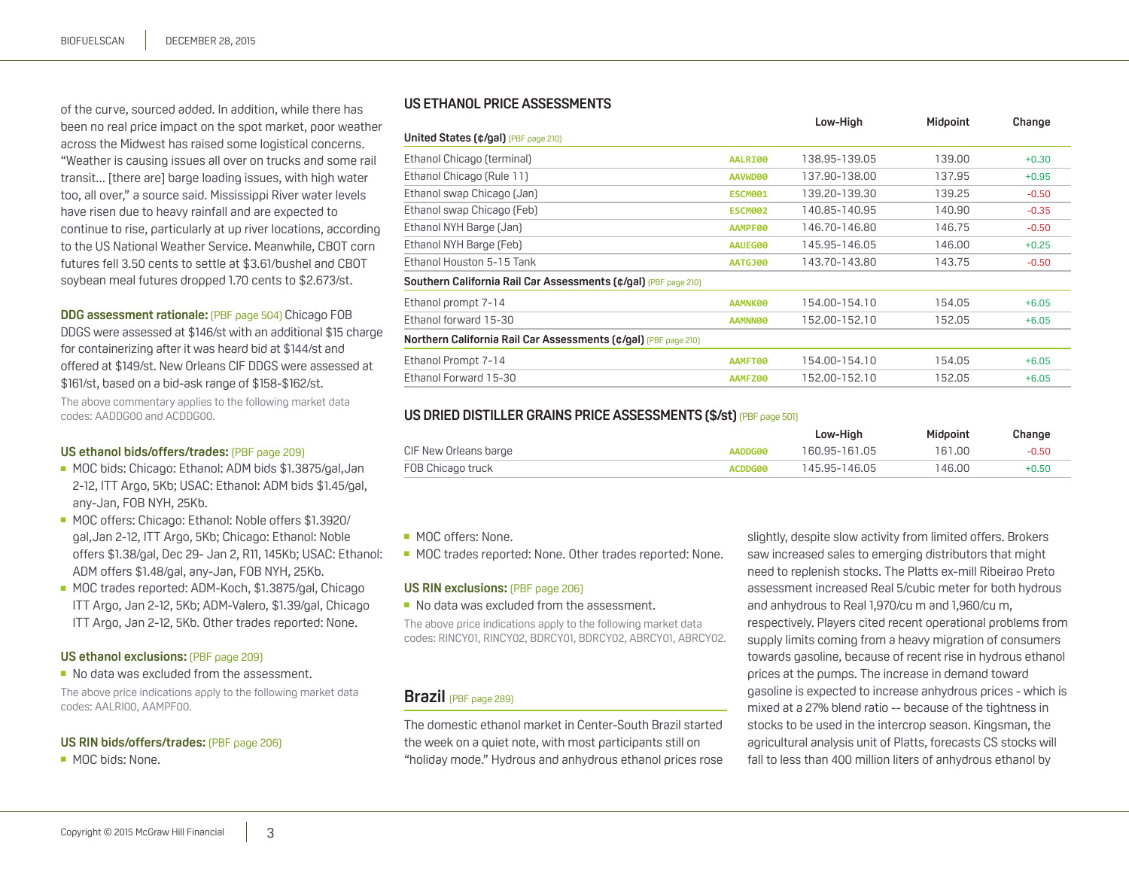<span id="page-2-0"></span>of the curve, sourced added. In addition, while there has been no real price impact on the spot market, poor weather across the Midwest has raised some logistical concerns. "Weather is causing issues all over on trucks and some rail transit... [there are] barge loading issues, with high water too, all over," a source said. Mississippi River water levels have risen due to heavy rainfall and are expected to continue to rise, particularly at up river locations, according to the US National Weather Service. Meanwhile, CBOT corn futures fell 3.50 cents to settle at \$3.61/bushel and CBOT soybean meal futures dropped 1.70 cents to \$2.673/st.

**DDG assessment rationale:** (PBF page 504) Chicago FOB DDGS were assessed at \$146/st with an additional \$15 charge for containerizing after it was heard bid at \$144/st and offered at \$149/st. New Orleans CIF DDGS were assessed at \$161/st, based on a bid-ask range of \$158-\$162/st.

The above commentary applies to the following market data codes: AADDG00 and ACDDG00.

#### **US ethanol bids/offers/trades:** (PBF page 209)

- MOC bids: Chicago: Ethanol: ADM bids \$1.3875/gal, Jan 2-12, ITT Argo, 5Kb; USAC: Ethanol: ADM bids \$1.45/gal, any-Jan, FOB NYH, 25Kb.
- MOC offers: Chicago: Ethanol: Noble offers \$1.3920/ gal,Jan 2-12, ITT Argo, 5Kb; Chicago: Ethanol: Noble offers \$1.38/gal, Dec 29- Jan 2, R11, 145Kb; USAC: Ethanol: ADM offers \$1.48/gal, any-Jan, FOB NYH, 25Kb.
- MOC trades reported: ADM-Koch, \$1.3875/gal, Chicago ITT Argo, Jan 2-12, 5Kb; ADM-Valero, \$1.39/gal, Chicago ITT Argo, Jan 2-12, 5Kb. Other trades reported: None.

#### **US ethanol exclusions:** (PBF page 209)

■ No data was excluded from the assessment.

The above price indications apply to the following market data codes: AALRI00, AAMPF00.

#### **US RIN bids/offers/trades:** (PBF page 206)

■ MOC bids: None.

#### **US ethanol price assessments**

|                                                                 |                | Low-High      | Midpoint | Change  |
|-----------------------------------------------------------------|----------------|---------------|----------|---------|
| United States (¢/gal) (PBF page 210)                            |                |               |          |         |
| Ethanol Chicago (terminal)                                      | AALRI00        | 138.95-139.05 | 139.00   | $+0.30$ |
| Ethanol Chicago (Rule 11)                                       | AAVWD00        | 137.90-138.00 | 137.95   | $+0.95$ |
| Ethanol swap Chicago (Jan)                                      | <b>ESCM001</b> | 139.20-139.30 | 139.25   | $-0.50$ |
| Ethanol swap Chicago (Feb)                                      | <b>ESCM002</b> | 140.85-140.95 | 140.90   | $-0.35$ |
| Ethanol NYH Barge (Jan)                                         | AAMPF00        | 146.70-146.80 | 146.75   | $-0.50$ |
| Ethanol NYH Barge (Feb)                                         | AAUEG00        | 145.95-146.05 | 146.00   | $+0.25$ |
| Ethanol Houston 5-15 Tank                                       | <b>AATGJ00</b> | 143.70-143.80 | 143.75   | $-0.50$ |
| Southern California Rail Car Assessments (¢/gal) (PBF page 210) |                |               |          |         |
| Ethanol prompt 7-14                                             | AAMNK00        | 154.00-154.10 | 154.05   | $+6.05$ |
| Ethanol forward 15-30                                           | AAMNN00        | 152.00-152.10 | 152.05   | $+6.05$ |
| Northern California Rail Car Assessments (¢/gal) (PBF page 210) |                |               |          |         |
| Ethanol Prompt 7-14                                             | AAMFT00        | 154.00-154.10 | 154.05   | $+6.05$ |
| Ethanol Forward 15-30                                           | AAMFZ00        | 152.00-152.10 | 152.05   | $+6.05$ |
|                                                                 |                |               |          |         |

#### **US DRIED DISTILLER GRAINS PRICE ASSESSMENTS (\$/st) (PBF page 501)**

|                       |                | Low-High      | Midooint | Change  |
|-----------------------|----------------|---------------|----------|---------|
| CIF New Orleans barge | AADDG00        | 160.95-161.05 | 161.00   | $-0.50$ |
| FOB Chicago truck     | <b>ACDDG00</b> | 145.95-146.05 | 146.00   | $+0.50$ |

■ MOC offers: None.

■ MOC trades reported: None. Other trades reported: None.

#### **US RIN exclusions:** (PBF page 206)

■ No data was excluded from the assessment.

The above price indications apply to the following market data codes: RINCY01, RINCY02, BDRCY01, BDRCY02, ABRCY01, ABRCY02.

# **Brazil** (PBF page 289)

The domestic ethanol market in Center-South Brazil started the week on a quiet note, with most participants still on "holiday mode." Hydrous and anhydrous ethanol prices rose slightly, despite slow activity from limited offers. Brokers saw increased sales to emerging distributors that might need to replenish stocks. The Platts ex-mill Ribeirao Preto assessment increased Real 5/cubic meter for both hydrous and anhydrous to Real 1,970/cu m and 1,960/cu m, respectively. Players cited recent operational problems from supply limits coming from a heavy migration of consumers towards gasoline, because of recent rise in hydrous ethanol prices at the pumps. The increase in demand toward gasoline is expected to increase anhydrous prices - which is mixed at a 27% blend ratio -- because of the tightness in stocks to be used in the intercrop season. Kingsman, the agricultural analysis unit of Platts, forecasts CS stocks will fall to less than 400 million liters of anhydrous ethanol by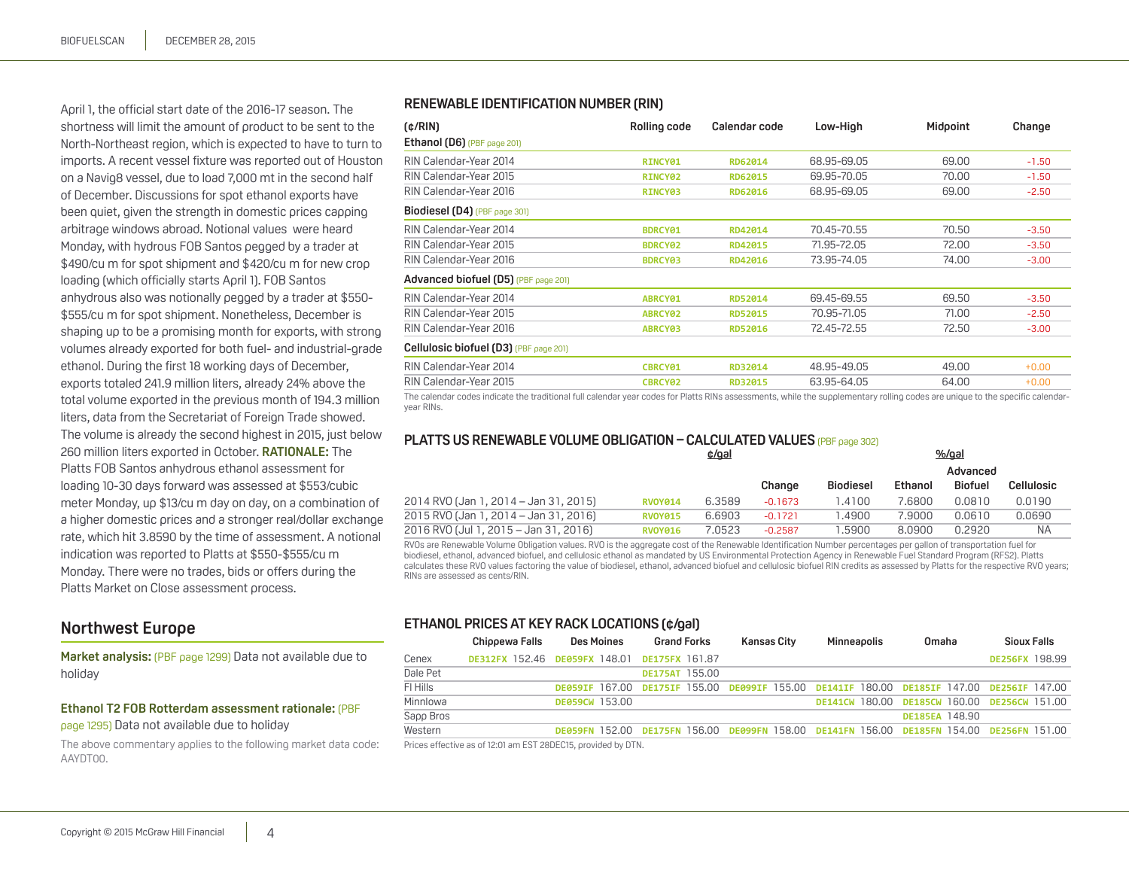<span id="page-3-0"></span>April 1, the official start date of the 2016-17 season. The shortness will limit the amount of product to be sent to the North-Northeast region, which is expected to have to turn to imports. A recent vessel fixture was reported out of Houston on a Navig8 vessel, due to load 7,000 mt in the second half of December. Discussions for spot ethanol exports have been quiet, given the strength in domestic prices capping arbitrage windows abroad. Notional values were heard Monday, with hydrous FOB Santos pegged by a trader at \$490/cu m for spot shipment and \$420/cu m for new crop loading (which officially starts April 1). FOB Santos anhydrous also was notionally pegged by a trader at \$550- \$555/cu m for spot shipment. Nonetheless, December is shaping up to be a promising month for exports, with strong volumes already exported for both fuel- and industrial-grade ethanol. During the first 18 working days of December, exports totaled 241.9 million liters, already 24% above the total volume exported in the previous month of 194.3 million liters, data from the Secretariat of Foreign Trade showed. The volume is already the second highest in 2015, just below 260 million liters exported in October. **RATIONALE:** The Platts FOB Santos anhydrous ethanol assessment for loading 10-30 days forward was assessed at \$553/cubic meter Monday, up \$13/cu m day on day, on a combination of a higher domestic prices and a stronger real/dollar exchange rate, which hit 3.8590 by the time of assessment. A notional indication was reported to Platts at \$550-\$555/cu m Monday. There were no trades, bids or offers during the Platts Market on Close assessment process.

# **Northwest Europe**

**Market analysis:** (PBF page 1299) Data not available due to holiday

#### **Ethanol T2 FOB Rotterdam assessment rationale:** (PBF page 1295) Data not available due to holiday

The above commentary applies to the following market data code: AAYDT00.

#### **Renewable Identification Number (RIN)**

| (c/RIN)                                                                                                                                                                                                                  | Rolling code        | Calendar code  | Low-High    | Midpoint | Change  |
|--------------------------------------------------------------------------------------------------------------------------------------------------------------------------------------------------------------------------|---------------------|----------------|-------------|----------|---------|
| Ethanol (D6) $(PBF page 201)$                                                                                                                                                                                            |                     |                |             |          |         |
| RIN Calendar-Year 2014                                                                                                                                                                                                   | RINCY <sub>01</sub> | RD62014        | 68.95-69.05 | 69.00    | $-1.50$ |
| RIN Calendar-Year 2015                                                                                                                                                                                                   | RINCY <sub>02</sub> | RD62015        | 69.95-70.05 | 70.00    | $-1.50$ |
| RIN Calendar-Year 2016                                                                                                                                                                                                   | RINCY <sub>03</sub> | RD62016        | 68.95-69.05 | 69.00    | $-2.50$ |
| <b>Biodiesel (D4)</b> (PBF page 301)                                                                                                                                                                                     |                     |                |             |          |         |
| RIN Calendar-Year 2014                                                                                                                                                                                                   | <b>BDRCY01</b>      | RD42014        | 70.45-70.55 | 70.50    | $-3.50$ |
| RIN Calendar-Year 2015                                                                                                                                                                                                   | <b>BDRCY02</b>      | RD42015        | 71.95-72.05 | 72.00    | $-3.50$ |
| RIN Calendar-Year 2016                                                                                                                                                                                                   | <b>BDRCY03</b>      | RD42016        | 73.95-74.05 | 74.00    | $-3.00$ |
| Advanced biofuel (D5) (PBF page 201)                                                                                                                                                                                     |                     |                |             |          |         |
| RIN Calendar-Year 2014                                                                                                                                                                                                   | ABRCY01             | <b>RD52014</b> | 69.45-69.55 | 69.50    | $-3.50$ |
| RIN Calendar-Year 2015                                                                                                                                                                                                   | ABRCY02             | <b>RD52015</b> | 70.95-71.05 | 71.00    | $-2.50$ |
| RIN Calendar-Year 2016                                                                                                                                                                                                   | ABRCY03             | <b>RD52016</b> | 72.45-72.55 | 72.50    | $-3.00$ |
| Cellulosic biofuel (D3) (PBF page 201)                                                                                                                                                                                   |                     |                |             |          |         |
| RIN Calendar-Year 2014                                                                                                                                                                                                   | CBRCY01             | RD32014        | 48.95-49.05 | 49.00    | $+0.00$ |
| RIN Calendar-Year 2015                                                                                                                                                                                                   | CBRCY <sub>02</sub> | RD32015        | 63.95-64.05 | 64.00    | $+0.00$ |
| The esteroide redict the traditional full colorate user codes for Platte PINs concernate while the curricles colorate relies and codes in the constitution of the constitution of the codes of the codes of the codes of |                     |                |             |          |         |

The calendar codes indicate the traditional full calendar year codes for Platts RINs assessments, while the supplementary rolling codes are unique to the specific ca year RINs.

# **PLATTS US RENEWABLE VOLUME OBLIGATION – CALCULATED VALUES** (PBF page 302)

|                                       |                | $%$ /gal<br>$c$ /gal |           |                  |         |                |                   |  |
|---------------------------------------|----------------|----------------------|-----------|------------------|---------|----------------|-------------------|--|
|                                       |                |                      |           |                  |         | Advanced       |                   |  |
|                                       |                |                      | Change    | <b>Biodiesel</b> | Ethanol | <b>Biofuel</b> | <b>Cellulosic</b> |  |
| 2014 RVO (Jan 1, 2014 – Jan 31, 2015) | <b>RVOY014</b> | 6.3589               | $-0.1673$ | 1.4100           | 7.6800  | 0.0810         | 0.0190            |  |
| 2015 RVO (Jan 1, 2014 – Jan 31, 2016) | <b>RVOY015</b> | 6.6903               | $-0.1721$ | .4900            | 7.9000  | 0.0610         | 0.0690            |  |
| 2016 RVO (Jul 1, 2015 – Jan 31, 2016) | <b>RVOY016</b> | 7.0523               | $-0.2587$ | .5900            | 8.0900  | 0.2920         | <b>NA</b>         |  |
|                                       |                |                      |           |                  |         |                |                   |  |

RVOs are Renewable Volume Obligation values. RVO is the aggregate cost of the Renewable Identification Number percentages per gallon of transportation fuel for biodiesel, ethanol, advanced biofuel, and cellulosic ethanol as mandated by US Environmental Protection Agency in Renewable Fuel Standard Program (RFS2). Platts calculates these RVO values factoring the value of biodiesel, ethanol, advanced biofuel and cellulosic biofuel RIN credits as assessed by Platts for the respective RVO years; RINs are assessed as cents/RIN.

#### **Ethanol prices at key rack locations (¢/gal)**

|           | Chippewa Falls | Des Moines                                                          | <b>Grand Forks</b>                                                                        | Kansas City | Minneapolis | Omaha                                        | Sioux Falls    |
|-----------|----------------|---------------------------------------------------------------------|-------------------------------------------------------------------------------------------|-------------|-------------|----------------------------------------------|----------------|
| Cenex     |                | DE312FX 152.46 DE059FX 148.01 DE175FX 161.87                        |                                                                                           |             |             |                                              | DE256FX 198.99 |
| Dale Pet  |                |                                                                     | <b>DE175AT 155.00</b>                                                                     |             |             |                                              |                |
| FI Hills  |                |                                                                     | DE059IF 167.00 DE175IF 155.00 DE099IF 155.00 DE141IF 180.00 DE185IF 147.00 DE256IF 147.00 |             |             |                                              |                |
| Minnlowa  |                | <b>DE059CW 153.00</b>                                               |                                                                                           |             |             | DE141CW 180.00 DE185CW 160.00 DE256CW 151.00 |                |
| Sapp Bros |                |                                                                     |                                                                                           |             |             | DE185EA 148.90                               |                |
| Western   |                |                                                                     | DE059FN 152.00 DE175FN 156.00 DE099FN 158.00 DE141FN 156.00 DE185FN 154.00 DE256FN 151.00 |             |             |                                              |                |
|           |                | <u>Driege affactive as of 12:01 am EST 28DEC15, orgyidad by DTN</u> |                                                                                           |             |             |                                              |                |

Prices effective as of 12:01 am EST 28DEC15, provided by DTN.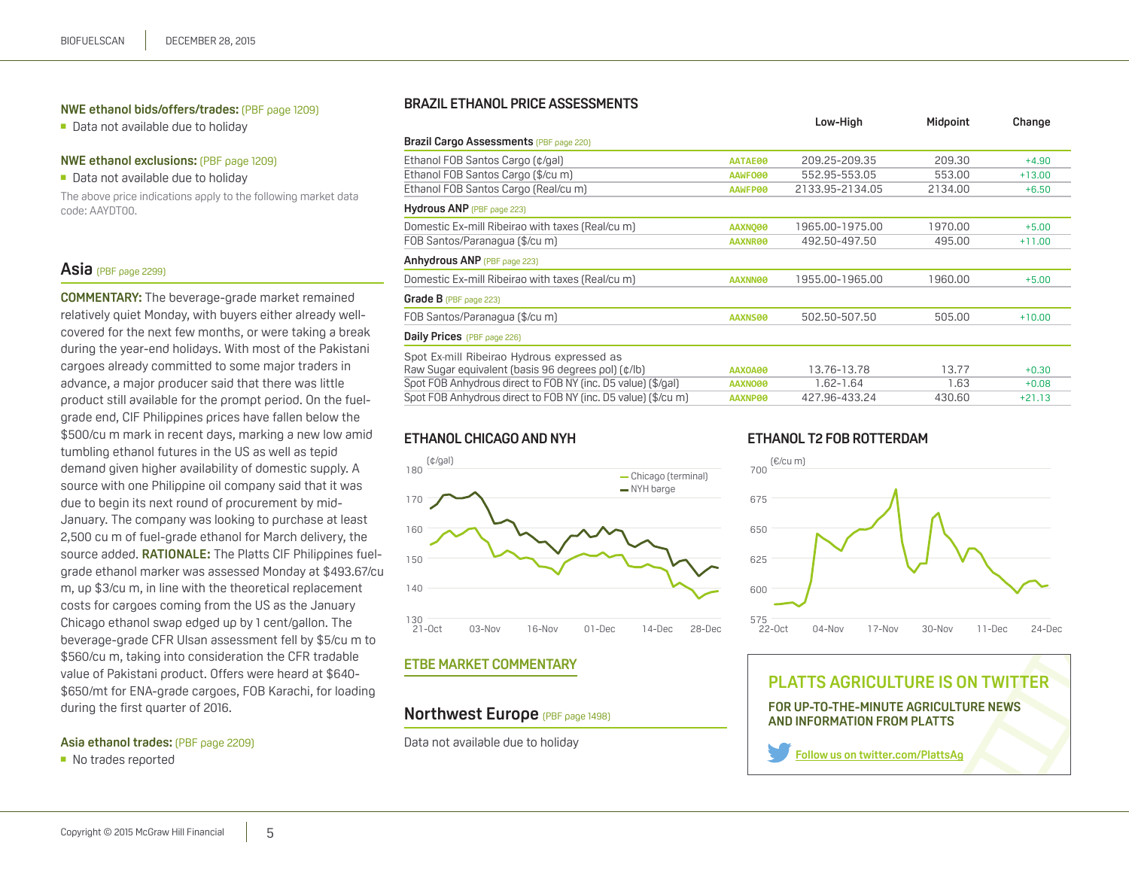#### <span id="page-4-0"></span>**NWE ethanol bids/offers/trades:** (PBF page 1209)

■ Data not available due to holiday

#### **NWE ethanol exclusions:** (PBF page 1209)

■ Data not available due to holiday

The above price indications apply to the following market data code: AAYDT00.

#### **Asia** (PBF page 2299)

**COMMENTARY:** The beverage-grade market remained relatively quiet Monday, with buyers either already wellcovered for the next few months, or were taking a break during the year-end holidays. With most of the Pakistani cargoes already committed to some major traders in advance, a major producer said that there was little product still available for the prompt period. On the fuelgrade end, CIF Philippines prices have fallen below the \$500/cu m mark in recent days, marking a new low amid tumbling ethanol futures in the US as well as tepid demand given higher availability of domestic supply. A source with one Philippine oil company said that it was due to begin its next round of procurement by mid-January. The company was looking to purchase at least 2,500 cu m of fuel-grade ethanol for March delivery, the source added. **RATIONALE:** The Platts CIF Philippines fuelgrade ethanol marker was assessed Monday at \$493.67/cu m, up \$3/cu m, in line with the theoretical replacement costs for cargoes coming from the US as the January Chicago ethanol swap edged up by 1 cent/gallon. The beverage-grade CFR Ulsan assessment fell by \$5/cu m to \$560/cu m, taking into consideration the CFR tradable value of Pakistani product. Offers were heard at \$640- \$650/mt for ENA-grade cargoes, FOB Karachi, for loading during the first quarter of 2016.

#### **Asia ethanol trades:** (PBF page 2209)

■ No trades reported

#### **Brazil Ethanol price assessments**

|                                                               |                | Low-High        | Midpoint | Change   |
|---------------------------------------------------------------|----------------|-----------------|----------|----------|
| Brazil Cargo Assessments (PBF page 220)                       |                |                 |          |          |
| Ethanol FOB Santos Cargo (¢/gal)                              | AATAE00        | 209.25-209.35   | 209.30   | $+4.90$  |
| Ethanol FOB Santos Cargo (\$/cu m)                            | AAWF000        | 552.95-553.05   | 553.00   | $+13.00$ |
| Ethanol FOB Santos Cargo (Real/cu m)                          | AAWFP00        | 2133.95-2134.05 | 2134.00  | $+6.50$  |
| Hydrous ANP (PBF page 223)                                    |                |                 |          |          |
| Domestic Ex-mill Ribeirao with taxes (Real/cu m)              | <b>AAXNO00</b> | 1965.00-1975.00 | 1970.00  | $+5.00$  |
| FOB Santos/Paranaqua (\$/cu m)                                | AAXNR00        | 492.50-497.50   | 495.00   | $+11.00$ |
| Anhydrous ANP (PBF page 223)                                  |                |                 |          |          |
| Domestic Ex-mill Ribeirao with taxes (Real/cum)               | AAXNN00        | 1955.00-1965.00 | 1960.00  | $+5.00$  |
| Grade $B$ (PBF page 223)                                      |                |                 |          |          |
| FOB Santos/Paranaqua (\$/cu m)                                | AAXNS00        | 502.50-507.50   | 505.00   | $+10.00$ |
| Daily Prices (PBF page 226)                                   |                |                 |          |          |
| Spot Ex-mill Ribeirao Hydrous expressed as                    |                |                 |          |          |
| Raw Sugar equivalent (basis 96 degrees pol) (¢/lb)            | <b>AAXOA00</b> | 13.76-13.78     | 13.77    | $+0.30$  |
| Spot FOB Anhydrous direct to FOB NY (inc. D5 value) (\$/gal)  | AAXNO00        | $1.62 - 1.64$   | 1.63     | $+0.08$  |
| Spot FOB Anhydrous direct to FOB NY (inc. D5 value) (\$/cu m) | AAXNP00        | 427.96-433.24   | 430.60   | $+21.13$ |
|                                                               |                |                 |          |          |

### **Ethanol Chicago and NYH**



#### **ETBE market commentary**

# **Northwest Europe** (PBF page 1498)

Data not available due to holiday

# **Ethanol T2 FOB Rotterdam**



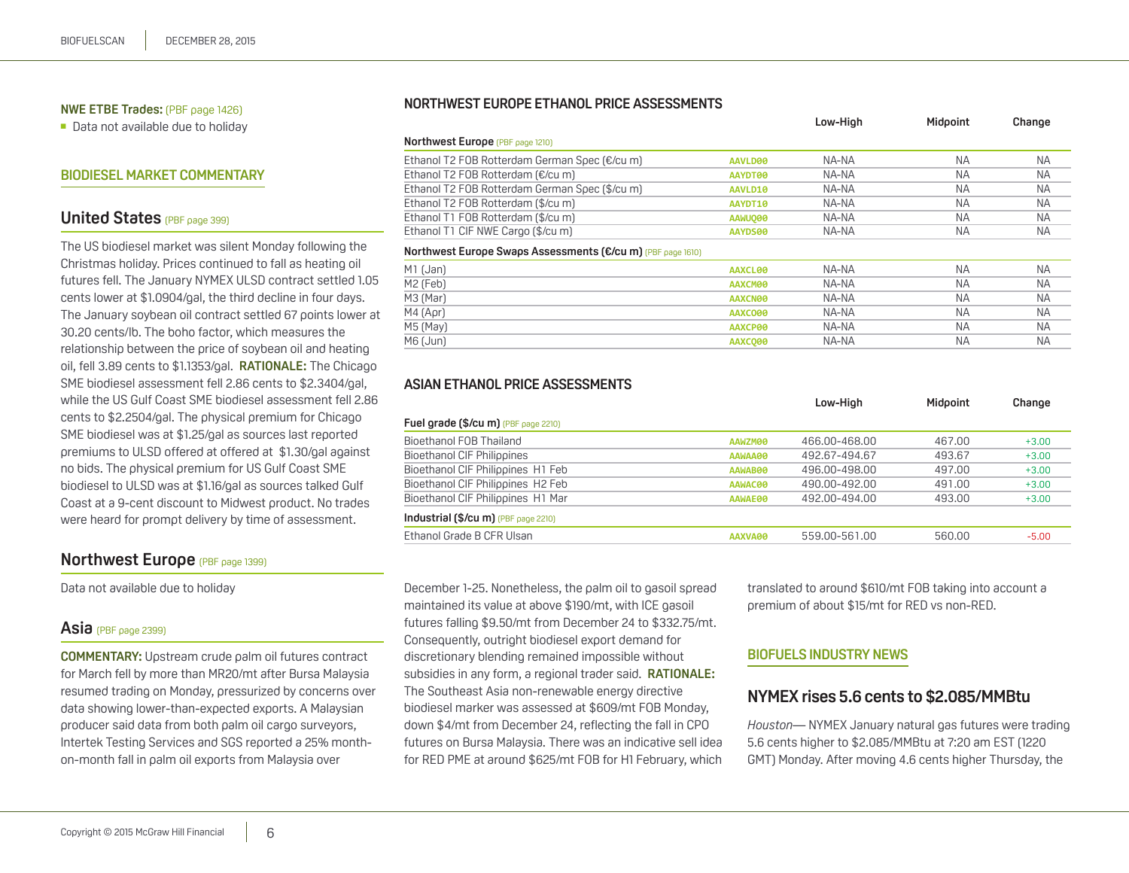#### <span id="page-5-0"></span>**NWE ETBE Trades:** (PBF page 1426)

■ Data not available due to holiday

#### **Biodiesel market commentary**

# **United States** (PBF page 399)

The US biodiesel market was silent Monday following the Christmas holiday. Prices continued to fall as heating oil futures fell. The January NYMEX ULSD contract settled 1.05 cents lower at \$1.0904/gal, the third decline in four days. The January soybean oil contract settled 67 points lower at 30.20 cents/lb. The boho factor, which measures the relationship between the price of soybean oil and heating oil, fell 3.89 cents to \$1.1353/gal. **RATIONALE:** The Chicago SME biodiesel assessment fell 2.86 cents to \$2.3404/gal, while the US Gulf Coast SME biodiesel assessment fell 2.86 cents to \$2.2504/gal. The physical premium for Chicago SME biodiesel was at \$1.25/gal as sources last reported premiums to ULSD offered at offered at \$1.30/gal against no bids. The physical premium for US Gulf Coast SME biodiesel to ULSD was at \$1.16/gal as sources talked Gulf Coast at a 9-cent discount to Midwest product. No trades were heard for prompt delivery by time of assessment.

### **Northwest Europe** (PBF page 1399)

Data not available due to holiday

#### **Asia** (PBF page 2399)

**COMMENTARY:** Upstream crude palm oil futures contract for March fell by more than MR20/mt after Bursa Malaysia resumed trading on Monday, pressurized by concerns over data showing lower-than-expected exports. A Malaysian producer said data from both palm oil cargo surveyors, Intertek Testing Services and SGS reported a 25% monthon-month fall in palm oil exports from Malaysia over

#### **Northwest Europe ethanol price assessments**

|                                                             |         | Low-High | Midooint  | Change    |
|-------------------------------------------------------------|---------|----------|-----------|-----------|
| <b>Northwest Europe</b> (PBF page 1210)                     |         |          |           |           |
| Ethanol T2 FOB Rotterdam German Spec (€/cum)                | AAVLD00 | NA-NA    | <b>NA</b> | <b>NA</b> |
| Ethanol T2 FOB Rotterdam (€/cu m)                           | AAYDT00 | NA-NA    | <b>NA</b> | <b>NA</b> |
| Ethanol T2 FOB Rotterdam German Soec (\$/cu m)              | AAVLD10 | NA-NA    | <b>NA</b> | <b>NA</b> |
| Ethanol T2 FOB Rotterdam (\$/cu m)                          | AAYDT10 | NA-NA    | <b>NA</b> | <b>NA</b> |
| Ethanol T1 FOB Rotterdam (\$/cu m)                          | AAWUQ00 | NA-NA    | <b>NA</b> | <b>NA</b> |
| Ethanol T1 CIF NWE Cargo (\$/cu m)                          | AAYDS00 | NA-NA    | <b>NA</b> | <b>NA</b> |
| Northwest Europe Swaps Assessments (€/cu m) (PBF page 1610) |         |          |           |           |
| M1 (Jan)                                                    | AAXCL00 | NA-NA    | <b>NA</b> | <b>NA</b> |
| M2 (Feb)                                                    | AAXCM00 | NA-NA    | <b>NA</b> | <b>NA</b> |
| M3 (Mar)                                                    | AAXCN00 | NA-NA    | <b>NA</b> | <b>NA</b> |
| $M4$ (Apr)                                                  | AAXCO00 | NA-NA    | <b>NA</b> | <b>NA</b> |
| M5 (May)                                                    | AAXCP00 | NA-NA    | <b>NA</b> | NA        |
| M6 (Jun)                                                    | AAXCO00 | NA-NA    | <b>NA</b> | ΝA        |

#### **Asian ethanol price assessments**

|                                                    | Low-High      | Midpoint | Change  |
|----------------------------------------------------|---------------|----------|---------|
| Fuel grade (\$/cu m) (PBF page 2210)               |               |          |         |
| Bioethanol FOB Thailand<br>AAWZM00                 | 466.00-468.00 | 467.00   | $+3.00$ |
| Bioethanol CIF Philippines<br>AAWAA00              | 492.67-494.67 | 493.67   | $+3.00$ |
| Bioethanol CIF Philippines H1 Feb<br>AAWAB00       | 496.00-498.00 | 497.00   | $+3.00$ |
| Bioethanol CIF Philippines H2 Feb<br>AAWAC00       | 490.00-492.00 | 491.00   | $+3.00$ |
| Bioethanol CIF Philippines H1 Mar<br>AAWAE00       | 492.00-494.00 | 493.00   | $+3.00$ |
| Industrial $(\frac{2}{2}$ Cu m $)$ (PBF page 2210) |               |          |         |
| Ethanol Grade B CFR Ulsan<br>AAXVA00               | 559.00-561.00 | 560.00   | $-5.00$ |

December 1-25. Nonetheless, the palm oil to gasoil spread maintained its value at above \$190/mt, with ICE gasoil futures falling \$9.50/mt from December 24 to \$332.75/mt. Consequently, outright biodiesel export demand for discretionary blending remained impossible without subsidies in any form, a regional trader said. **RATIONALE:** The Southeast Asia non-renewable energy directive biodiesel marker was assessed at \$609/mt FOB Monday, down \$4/mt from December 24, reflecting the fall in CPO futures on Bursa Malaysia. There was an indicative sell idea for RED PME at around \$625/mt FOB for H1 February, which translated to around \$610/mt FOB taking into account a premium of about \$15/mt for RED vs non-RED.

#### **Biofuels industry news**

# **NYMEX rises 5.6 cents to \$2.085/MMBtu**

*Houston*— NYMEX January natural gas futures were trading 5.6 cents higher to \$2.085/MMBtu at 7:20 am EST (1220 GMT) Monday. After moving 4.6 cents higher Thursday, the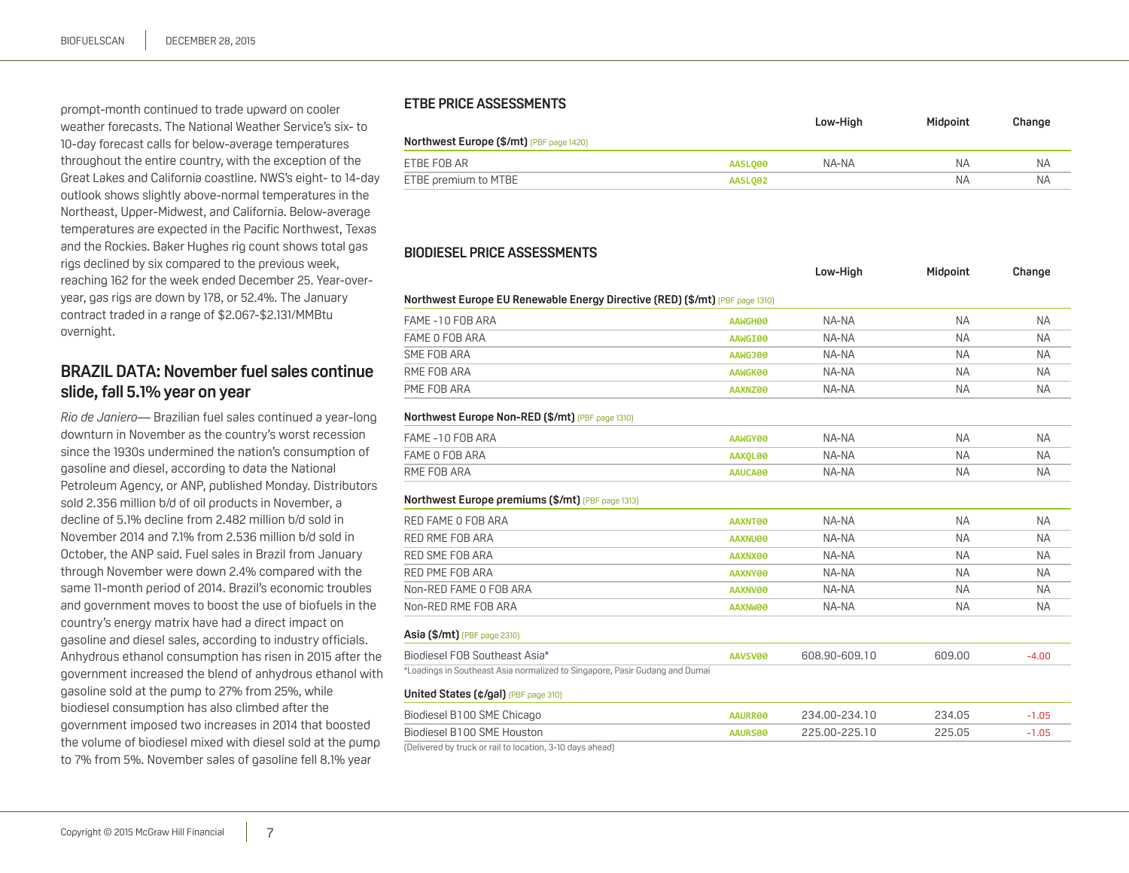<span id="page-6-0"></span>prompt-month continued to trade upward on cooler weather forecasts. The National Weather Service's six- to 10-day forecast calls for below-average temperatures throughout the entire country, with the exception of the Great Lakes and California coastline. NWS's eight- to 14-day outlook shows slightly above-normal temperatures in the Northeast, Upper-Midwest, and California. Below-average temperatures are expected in the Pacific Northwest, Texas and the Rockies. Baker Hughes rig count shows total gas rigs declined by six compared to the previous week, reaching 162 for the week ended December 25. Year-overyear, gas rigs are down by 178, or 52.4%. The January contract traded in a range of \$2.067-\$2.131/MMBtu overnight.

# **BRAZIL DATA: November fuel sales continue slide, fall 5.1% year on year**

*Rio de Janiero*— Brazilian fuel sales continued a year-long downturn in November as the country's worst recession since the 1930s undermined the nation's consumption of gasoline and diesel, according to data the National Petroleum Agency, or ANP, published Monday. Distributors sold 2.356 million b/d of oil products in November, a decline of 5.1% decline from 2.482 million b/d sold in November 2014 and 7.1% from 2.536 million b/d sold in October, the ANP said. Fuel sales in Brazil from January through November were down 2.4% compared with the same 11-month period of 2014. Brazil's economic troubles and government moves to boost the use of biofuels in the country's energy matrix have had a direct impact on gasoline and diesel sales, according to industry officials. Anhydrous ethanol consumption has risen in 2015 after the government increased the blend of anhydrous ethanol with gasoline sold at the pump to 27% from 25%, while biodiesel consumption has also climbed after the government imposed two increases in 2014 that boosted the volume of biodiesel mixed with diesel sold at the pump to 7% from 5%. November sales of gasoline fell 8.1% year

#### **ETBE price assessments**

|                                                 |         | Low-High | Midooint  | Change    |
|-------------------------------------------------|---------|----------|-----------|-----------|
| <b>Northwest Europe (\$/mt)</b> (PBF page 1420) |         |          |           |           |
| ETBE FOB AR                                     | AASL000 | NA-NA    | <b>NA</b> | <b>NA</b> |
| ETBE premium to MTBE                            | AASLO02 |          | <b>NA</b> | ΝA        |

#### **Biodiesel price assessments**

|                                                                              |         | Low-High      | Midpoint  | Change    |
|------------------------------------------------------------------------------|---------|---------------|-----------|-----------|
| Northwest Europe EU Renewable Energy Directive (RED) (\$/mt) (PBF page 1310) |         |               |           |           |
| FAME -10 FOB ARA                                                             | AAWGH00 | NA-NA         | <b>NA</b> | <b>NA</b> |
| FAME O FOB ARA                                                               | AAWGI00 | NA-NA         | <b>NA</b> | <b>NA</b> |
| SME FOB ARA                                                                  | AAWGJ00 | NA-NA         | <b>NA</b> | <b>NA</b> |
| RME FOB ARA                                                                  | AAWGK00 | NA-NA         | <b>NA</b> | <b>NA</b> |
| PME FOB ARA                                                                  | AAXNZ00 | NA-NA         | <b>NA</b> | <b>NA</b> |
| Northwest Europe Non-RED (\$/mt) (PBF page 1310)                             |         |               |           |           |
| FAME -10 FOB ARA                                                             | AAWGY00 | NA-NA         | <b>NA</b> | <b>NA</b> |
| FAME O FOB ARA                                                               | AAXQL00 | NA-NA         | <b>NA</b> | <b>NA</b> |
| RME FOB ARA                                                                  | AAUCA00 | NA-NA         | <b>NA</b> | <b>NA</b> |
| Northwest Europe premiums (\$/mt) (PBF page 1313)                            |         |               |           |           |
| RED FAME O FOB ARA                                                           | AAXNT00 | NA-NA         | <b>NA</b> | <b>NA</b> |
| RED RME FOB ARA                                                              | AAXNU00 | NA-NA         | <b>NA</b> | <b>NA</b> |
| RED SME FOB ARA                                                              | AAXNX00 | NA-NA         | <b>NA</b> | <b>NA</b> |
| RED PME FOB ARA                                                              | AAXNY00 | NA-NA         | <b>NA</b> | <b>NA</b> |
| Non-RED FAME O FOB ARA                                                       | AAXNV00 | NA-NA         | <b>NA</b> | <b>NA</b> |
| Non-RED RME FOB ARA                                                          | AAXNW00 | NA-NA         | <b>NA</b> | <b>NA</b> |
| Asia (\$/mt) (PBF page 2310)                                                 |         |               |           |           |
| Biodiesel FOB Southeast Asia*                                                | AAVSV00 | 608.90-609.10 | 609.00    | $-4.00$   |
| *Loadings in Southeast Asia normalized to Singapore, Pasir Gudang and Dumai  |         |               |           |           |
| United States (¢/gal) (PBF page 310)                                         |         |               |           |           |
| Biodiesel B100 SME Chicago                                                   | AAURR00 | 234.00-234.10 | 234.05    | $-1.05$   |
| Biodiesel B100 SME Houston                                                   | AAURS00 | 225.00-225.10 | 225.05    | $-1.05$   |

(Delivered by truck or rail to location, 3-10 days ahead)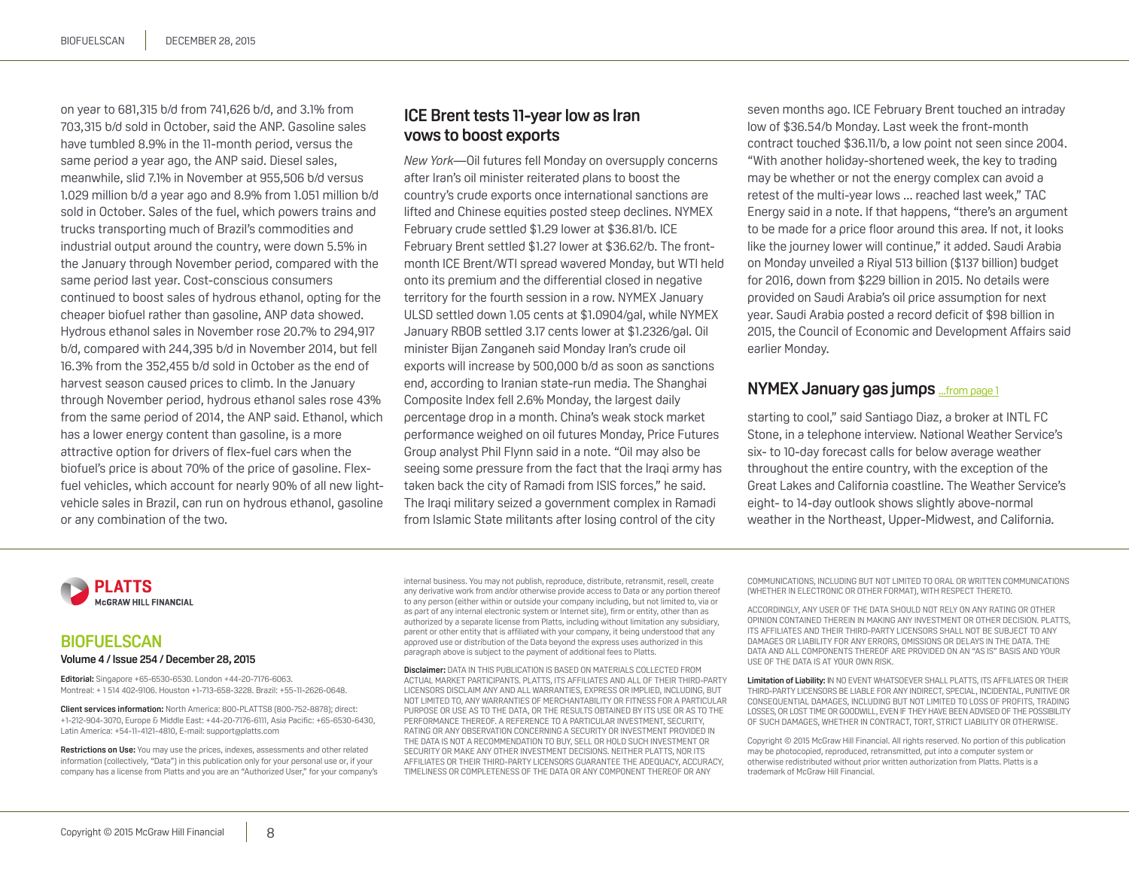<span id="page-7-0"></span>on year to 681,315 b/d from 741,626 b/d, and 3.1% from 703,315 b/d sold in October, said the ANP. Gasoline sales have tumbled 8.9% in the 11-month period, versus the same period a year ago, the ANP said. Diesel sales, meanwhile, slid 7.1% in November at 955,506 b/d versus 1.029 million b/d a year ago and 8.9% from 1.051 million b/d sold in October. Sales of the fuel, which powers trains and trucks transporting much of Brazil's commodities and industrial output around the country, were down 5.5% in the January through November period, compared with the same period last year. Cost-conscious consumers continued to boost sales of hydrous ethanol, opting for the cheaper biofuel rather than gasoline, ANP data showed. Hydrous ethanol sales in November rose 20.7% to 294,917 b/d, compared with 244,395 b/d in November 2014, but fell 16.3% from the 352,455 b/d sold in October as the end of harvest season caused prices to climb. In the January through November period, hydrous ethanol sales rose 43% from the same period of 2014, the ANP said. Ethanol, which has a lower energy content than gasoline, is a more attractive option for drivers of flex-fuel cars when the biofuel's price is about 70% of the price of gasoline. Flexfuel vehicles, which account for nearly 90% of all new lightvehicle sales in Brazil, can run on hydrous ethanol, gasoline or any combination of the two.

# **ICE Brent tests 11-year low as Iran vows to boost exports**

*New York*—Oil futures fell Monday on oversupply concerns after Iran's oil minister reiterated plans to boost the country's crude exports once international sanctions are lifted and Chinese equities posted steep declines. NYMEX February crude settled \$1.29 lower at \$36.81/b. ICE February Brent settled \$1.27 lower at \$36.62/b. The frontmonth ICE Brent/WTI spread wavered Monday, but WTI held onto its premium and the differential closed in negative territory for the fourth session in a row. NYMEX January ULSD settled down 1.05 cents at \$1.0904/gal, while NYMEX January RBOB settled 3.17 cents lower at \$1.2326/gal. Oil minister Bijan Zanganeh said Monday Iran's crude oil exports will increase by 500,000 b/d as soon as sanctions end, according to Iranian state-run media. The Shanghai Composite Index fell 2.6% Monday, the largest daily percentage drop in a month. China's weak stock market performance weighed on oil futures Monday, Price Futures Group analyst Phil Flynn said in a note. "Oil may also be seeing some pressure from the fact that the Iraqi army has taken back the city of Ramadi from ISIS forces," he said. The Iraqi military seized a government complex in Ramadi from Islamic State militants after losing control of the city

seven months ago. ICE February Brent touched an intraday low of \$36.54/b Monday. Last week the front-month contract touched \$36.11/b, a low point not seen since 2004. "With another holiday-shortened week, the key to trading may be whether or not the energy complex can avoid a retest of the multi-year lows ... reached last week," TAC Energy said in a note. If that happens, "there's an argument to be made for a price floor around this area. If not, it looks like the journey lower will continue," it added. Saudi Arabia on Monday unveiled a Riyal 513 billion (\$137 billion) budget for 2016, down from \$229 billion in 2015. No details were provided on Saudi Arabia's oil price assumption for next year. Saudi Arabia posted a record deficit of \$98 billion in 2015, the Council of Economic and Development Affairs said earlier Monday.

# **NYMEX January gas jumps** ...f[rom page 1](#page-0-0)

starting to cool," said Santiago Diaz, a broker at INTL FC Stone, in a telephone interview. National Weather Service's six- to 10-day forecast calls for below average weather throughout the entire country, with the exception of the Great Lakes and California coastline. The Weather Service's eight- to 14-day outlook shows slightly above-normal weather in the Northeast, Upper-Midwest, and California.

**PLATTS McGRAW HILL FINANCIAL** 

#### **BIOFUELSCAN Volume 4 / Issue 254 / December 28, 2015**

**Editorial:** Singapore +65-6530-6530. London +44-20-7176-6063. Montreal: + 1 514 402-9106. Houston +1-713-658-3228. Brazil: +55-11-2626-0648.

**Client services information:** North America: 800-PLATTS8 (800-752-8878); direct: +1-212-904-3070, Europe & Middle East: +44-20-7176-6111, Asia Pacific: +65-6530-6430, Latin America: +54-11-4121-4810, E-mail: support@platts.com

**Restrictions on Use:** You may use the prices, indexes, assessments and other related information (collectively, "Data") in this publication only for your personal use or, if your company has a license from Platts and you are an "Authorized User," for your company's internal business. You may not publish, reproduce, distribute, retransmit, resell, create any derivative work from and/or otherwise provide access to Data or any portion thereof to any person (either within or outside your company including, but not limited to, via or as part of any internal electronic system or Internet site), firm or entity, other than as authorized by a separate license from Platts, including without limitation any subsidiary, parent or other entity that is affiliated with your company, it being understood that any approved use or distribution of the Data beyond the express uses authorized in this paragraph above is subject to the payment of additional fees to Platts.

**Disclaimer:** DATA IN THIS PUBLICATION IS BASED ON MATERIALS COLLECTED FROM ACTUAL MARKET PARTICIPANTS. PLATTS, ITS AFFILIATES AND ALL OF THEIR THIRD-PARTY LICENSORS DISCLAIM ANY AND ALL WARRANTIES, EXPRESS OR IMPLIED, INCLUDING, BUT NOT LIMITED TO, ANY WARRANTIES OF MERCHANTABILITY OR FITNESS FOR A PARTICULAR PURPOSE OR USE AS TO THE DATA, OR THE RESULTS OBTAINED BY ITS USE OR AS TO THE PERFORMANCE THEREOF. A REFERENCE TO A PARTICULAR INVESTMENT, SECURITY, RATING OR ANY OBSERVATION CONCERNING A SECURITY OR INVESTMENT PROVIDED IN THE DATA IS NOT A RECOMMENDATION TO BUY, SELL OR HOLD SUCH INVESTMENT OR SECURITY OR MAKE ANY OTHER INVESTMENT DECISIONS. NEITHER PLATTS, NOR ITS AFFILIATES OR THEIR THIRD-PARTY LICENSORS GUARANTEE THE ADEQUACY, ACCURACY, TIMELINESS OR COMPLETENESS OF THE DATA OR ANY COMPONENT THEREOF OR ANY

COMMUNICATIONS, INCLUDING BUT NOT LIMITED TO ORAL OR WRITTEN COMMUNICATIONS (WHETHER IN ELECTRONIC OR OTHER FORMAT), WITH RESPECT THERETO.

ACCORDINGLY, ANY USER OF THE DATA SHOULD NOT RELY ON ANY RATING OR OTHER OPINION CONTAINED THEREIN IN MAKING ANY INVESTMENT OR OTHER DECISION. PLATTS, ITS AFFILIATES AND THEIR THIRD-PARTY LICENSORS SHALL NOT BE SUBJECT TO ANY DAMAGES OR LIABILITY FOR ANY ERRORS, OMISSIONS OR DELAYS IN THE DATA. THE DATA AND ALL COMPONENTS THEREOF ARE PROVIDED ON AN "AS IS" BASIS AND YOUR USE OF THE DATA IS AT YOUR OWN RISK.

**Limitation of Liability:** IN NO EVENT WHATSOEVER SHALL PLATTS, ITS AFFILIATES OR THEIR THIRD-PARTY LICENSORS BE LIABLE FOR ANY INDIRECT, SPECIAL, INCIDENTAL, PUNITIVE OR CONSEQUENTIAL DAMAGES, INCLUDING BUT NOT LIMITED TO LOSS OF PROFITS, TRADING LOSSES, OR LOST TIME OR GOODWILL, EVEN IF THEY HAVE BEEN ADVISED OF THE POSSIBILITY OF SUCH DAMAGES, WHETHER IN CONTRACT, TORT, STRICT LIABILITY OR OTHERWISE.

Copyright © 2015 McGraw Hill Financial. All rights reserved. No portion of this publication may be photocopied, reproduced, retransmitted, put into a computer system or otherwise redistributed without prior written authorization from Platts. Platts is a trademark of McGraw Hill Financial.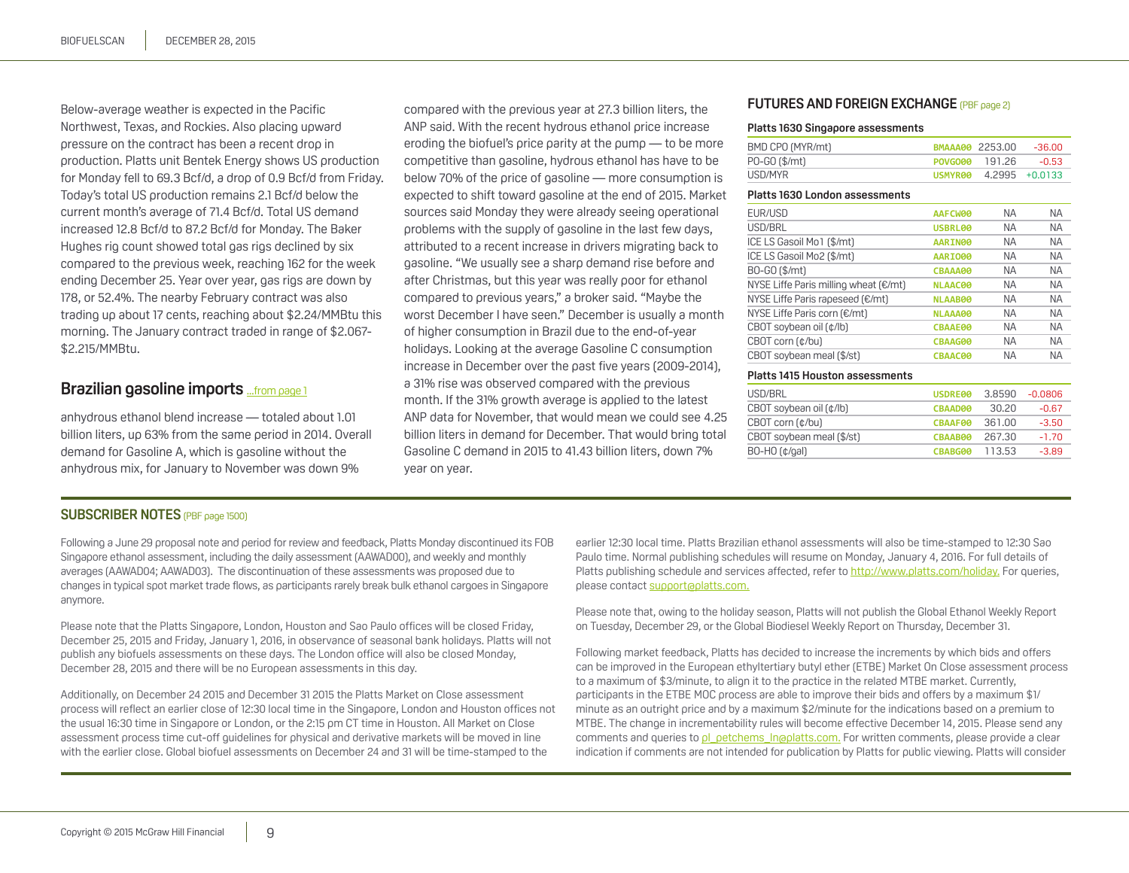<span id="page-8-0"></span>Below-average weather is expected in the Pacific Northwest, Texas, and Rockies. Also placing upward pressure on the contract has been a recent drop in production. Platts unit Bentek Energy shows US production for Monday fell to 69.3 Bcf/d, a drop of 0.9 Bcf/d from Friday. Today's total US production remains 2.1 Bcf/d below the current month's average of 71.4 Bcf/d. Total US demand increased 12.8 Bcf/d to 87.2 Bcf/d for Monday. The Baker Hughes rig count showed total gas rigs declined by six compared to the previous week, reaching 162 for the week ending December 25. Year over year, gas rigs are down by 178, or 52.4%. The nearby February contract was also trading up about 17 cents, reaching about \$2.24/MMBtu this morning. The January contract traded in range of \$2.067- \$2.215/MMBtu.

# **Brazilian gasoline imports** [...from page 1](#page-0-0)

anhydrous ethanol blend increase — totaled about 1.01 billion liters, up 63% from the same period in 2014. Overall demand for Gasoline A, which is gasoline without the anhydrous mix, for January to November was down 9%

compared with the previous year at 27.3 billion liters, the ANP said. With the recent hydrous ethanol price increase eroding the biofuel's price parity at the pump — to be more competitive than gasoline, hydrous ethanol has have to be below 70% of the price of gasoline — more consumption is expected to shift toward gasoline at the end of 2015. Market sources said Monday they were already seeing operational problems with the supply of gasoline in the last few days, attributed to a recent increase in drivers migrating back to gasoline. "We usually see a sharp demand rise before and after Christmas, but this year was really poor for ethanol compared to previous years," a broker said. "Maybe the worst December I have seen." December is usually a month of higher consumption in Brazil due to the end-of-year holidays. Looking at the average Gasoline C consumption increase in December over the past five years (2009-2014), a 31% rise was observed compared with the previous month. If the 31% growth average is applied to the latest ANP data for November, that would mean we could see 4.25 billion liters in demand for December. That would bring total Gasoline C demand in 2015 to 41.43 billion liters, down 7% year on year.

#### **FUTURES AND FOREIGN EXCHANGE (PBF page 2)**

#### **Platts 1630 Singapore assessments**

| BMD CPO (MYR/mt) | <b>BMAAA00 2253.00</b> | -36.00         |
|------------------|------------------------|----------------|
| PO-GO (\$/mt)    | POVGO00 191.26         | $-0.53$        |
| USD/MYR          | USMYR00                | 4.2995 +0.0133 |

#### **Platts 1630 London assessments**

| EUR/USD                               | AAFCW00        | <b>NA</b> | <b>NA</b> |
|---------------------------------------|----------------|-----------|-----------|
| USD/BRL                               | USBRL00        | <b>NA</b> | <b>NA</b> |
| ICE LS Gasoil Mo1 (\$/mt)             | <b>AARIN00</b> | <b>NA</b> | <b>NA</b> |
| ICE LS Gasoil Mo2 (\$/mt)             | <b>AARIO00</b> | <b>NA</b> | <b>NA</b> |
| B0-G0 (\$/mt)                         | CBAAA00        | <b>NA</b> | <b>NA</b> |
| NYSE Liffe Paris milling wheat (€/mt) | <b>NLAAC00</b> | <b>NA</b> | <b>NA</b> |
| NYSE Liffe Paris rapeseed (€/mt)      | <b>NLAAB00</b> | <b>NA</b> | <b>NA</b> |
| NYSE Liffe Paris corn (€/mt)          | <b>NLAAA00</b> | <b>NA</b> | <b>NA</b> |
| CBOT soybean oil (¢/lb)               | <b>CBAAE00</b> | <b>NA</b> | <b>NA</b> |
| CBOT corn (¢/bu)                      | CBAAG00        | <b>NA</b> | <b>NA</b> |
| CBOT soybean meal (\$/st)             | CBAAC00        | <b>NA</b> | <b>NA</b> |
| Diatta 1415   Lacatan ang ang pangala |                |           |           |

#### **Platts 1415 Houston assessments**

| USD/BRL                   | USDRE00 | 3.8590 | $-0.0806$ |
|---------------------------|---------|--------|-----------|
| CBOT soybean oil (¢/lb)   | CBAAD00 | 30.20  | $-0.67$   |
| CBOT corn (¢/bu)          | CBAAF00 | 361.00 | $-3.50$   |
| CBOT soybean meal (\$/st) | CBAAB00 | 267.30 | $-1.70$   |
| $BO-HO$ ( $\phi$ /gal)    | CBABG00 | 113.53 | $-3.89$   |

#### **SUBSCRIBER NOTES** (PBF page 1500)

Following a June 29 proposal note and period for review and feedback, Platts Monday discontinued its FOB Singapore ethanol assessment, including the daily assessment (AAWAD00), and weekly and monthly averages (AAWAD04; AAWAD03). The discontinuation of these assessments was proposed due to changes in typical spot market trade flows, as participants rarely break bulk ethanol cargoes in Singapore anymore.

Please note that the Platts Singapore, London, Houston and Sao Paulo offices will be closed Friday, December 25, 2015 and Friday, January 1, 2016, in observance of seasonal bank holidays. Platts will not publish any biofuels assessments on these days. The London office will also be closed Monday, December 28, 2015 and there will be no European assessments in this day.

Additionally, on December 24 2015 and December 31 2015 the Platts Market on Close assessment process will reflect an earlier close of 12:30 local time in the Singapore, London and Houston offices not the usual 16:30 time in Singapore or London, or the 2:15 pm CT time in Houston. All Market on Close assessment process time cut-off quidelines for physical and derivative markets will be moved in line with the earlier close. Global biofuel assessments on December 24 and 31 will be time-stamped to the

earlier 12:30 local time. Platts Brazilian ethanol assessments will also be time-stamped to 12:30 Sao Paulo time. Normal publishing schedules will resume on Monday, January 4, 2016. For full details of Platts publishing schedule and services affected, refer to http://www.platts.com/holiday. For queries, please contact support@platts.com.

Please note that, owing to the holiday season, Platts will not publish the Global Ethanol Weekly Report on Tuesday, December 29, or the Global Biodiesel Weekly Report on Thursday, December 31.

Following market feedback, Platts has decided to increase the increments by which bids and offers can be improved in the European ethyltertiary butyl ether (ETBE) Market On Close assessment process to a maximum of \$3/minute, to align it to the practice in the related MTBE market. Currently, participants in the ETBE MOC process are able to improve their bids and offers by a maximum \$1/ minute as an outright price and by a maximum \$2/minute for the indications based on a premium to MTBE. The change in incrementability rules will become effective December 14, 2015. Please send any comments and queries to pl\_petchems\_ln@platts.com. For written comments, please provide a clear indication if comments are not intended for publication by Platts for public viewing. Platts will consider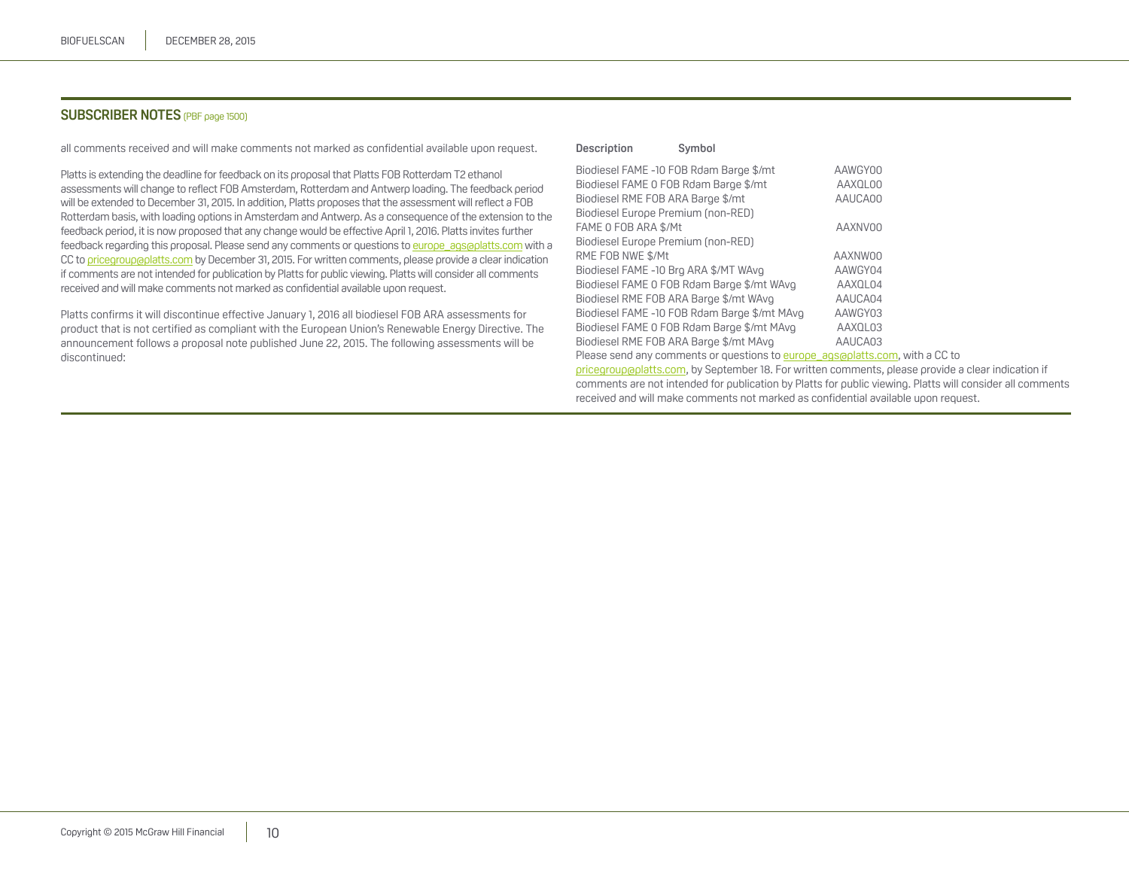#### **SUBSCRIBER NOTES** (PBF page 1500)

all comments received and will make comments not marked as confidential available upon request.

Platts is extending the deadline for feedback on its proposal that Platts FOB Rotterdam T2 ethanol assessments will change to reflect FOB Amsterdam, Rotterdam and Antwerp loading. The feedback period will be extended to December 31, 2015. In addition, Platts proposes that the assessment will reflect a FOB Rotterdam basis, with loading options in Amsterdam and Antwerp. As a consequence of the extension to the feedback period, it is now proposed that any change would be effective April 1, 2016. Platts invites further feedback regarding this proposal. Please send any comments or questions to europe\_ags@platts.com with a CC to pricegroup aplatts.com by December 31, 2015. For written comments, please provide a clear indication if comments are not intended for publication by Platts for public viewing. Platts will consider all comments received and will make comments not marked as confidential available upon request.

Platts confirms it will discontinue effective January 1, 2016 all biodiesel FOB ARA assessments for product that is not certified as compliant with the European Union's Renewable Energy Directive. The announcement follows a proposal note published June 22, 2015. The following assessments will be discontinued:

#### **Description Symbol**

| Biodiesel FAME -10 FOB Rdam Barge \$/mt                                      | AAWGY00 |
|------------------------------------------------------------------------------|---------|
| Biodiesel FAME 0 FOB Rdam Barge \$/mt                                        | AAXQL00 |
| Biodiesel RME FOB ARA Barge \$/mt                                            | AAUCA00 |
| Biodiesel Europe Premium (non-RED)                                           |         |
| FAME O FOB ARA \$/Mt                                                         | AAXNV00 |
| Biodiesel Europe Premium (non-RED)                                           |         |
| RME FOB NWE \$/Mt                                                            | AAXNW00 |
| Biodiesel FAME -10 Brg ARA \$/MT WAvg                                        | AAWGY04 |
| Biodiesel FAME 0 FOB Rdam Barge \$/mt WAvg                                   | AAXOL04 |
| Biodiesel RME FOB ARA Barge \$/mt WAvg                                       | AAUCA04 |
| Biodiesel FAME -10 FOB Rdam Barge \$/mt MAvg                                 | AAWGY03 |
| Biodiesel FAME 0 FOB Rdam Barge \$/mt MAvg                                   | AAXQL03 |
| Biodiesel RME FOB ARA Barge \$/mt MAvg                                       | AAUCA03 |
| Please send any comments or questions to europe agsoplatts.com, with a CC to |         |

pricegroup@platts.com, by September 18. For written comments, please provide a clear indication if comments are not intended for publication by Platts for public viewing. Platts will consider all comments received and will make comments not marked as confidential available upon request.